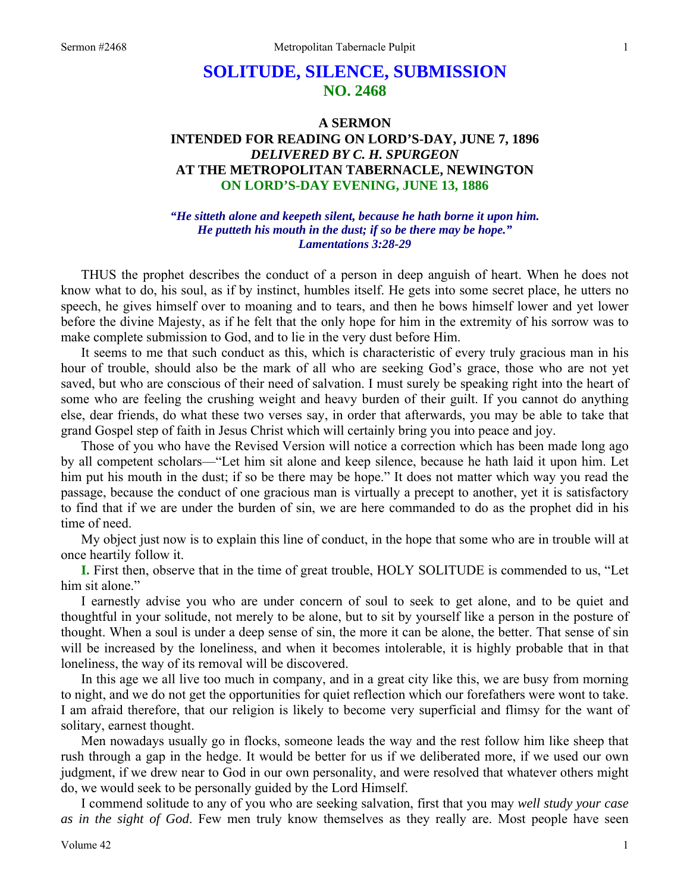# **SOLITUDE, SILENCE, SUBMISSION NO. 2468**

## **A SERMON INTENDED FOR READING ON LORD'S-DAY, JUNE 7, 1896**  *DELIVERED BY C. H. SPURGEON*  **AT THE METROPOLITAN TABERNACLE, NEWINGTON ON LORD'S-DAY EVENING, JUNE 13, 1886**

#### *"He sitteth alone and keepeth silent, because he hath borne it upon him. He putteth his mouth in the dust; if so be there may be hope." Lamentations 3:28-29*

THUS the prophet describes the conduct of a person in deep anguish of heart. When he does not know what to do, his soul, as if by instinct, humbles itself. He gets into some secret place, he utters no speech, he gives himself over to moaning and to tears, and then he bows himself lower and yet lower before the divine Majesty, as if he felt that the only hope for him in the extremity of his sorrow was to make complete submission to God, and to lie in the very dust before Him.

It seems to me that such conduct as this, which is characteristic of every truly gracious man in his hour of trouble, should also be the mark of all who are seeking God's grace, those who are not yet saved, but who are conscious of their need of salvation. I must surely be speaking right into the heart of some who are feeling the crushing weight and heavy burden of their guilt. If you cannot do anything else, dear friends, do what these two verses say, in order that afterwards, you may be able to take that grand Gospel step of faith in Jesus Christ which will certainly bring you into peace and joy.

Those of you who have the Revised Version will notice a correction which has been made long ago by all competent scholars—"Let him sit alone and keep silence, because he hath laid it upon him. Let him put his mouth in the dust; if so be there may be hope." It does not matter which way you read the passage, because the conduct of one gracious man is virtually a precept to another, yet it is satisfactory to find that if we are under the burden of sin, we are here commanded to do as the prophet did in his time of need.

My object just now is to explain this line of conduct, in the hope that some who are in trouble will at once heartily follow it.

**I.** First then, observe that in the time of great trouble, HOLY SOLITUDE is commended to us, "Let him sit alone."

I earnestly advise you who are under concern of soul to seek to get alone, and to be quiet and thoughtful in your solitude, not merely to be alone, but to sit by yourself like a person in the posture of thought. When a soul is under a deep sense of sin, the more it can be alone, the better. That sense of sin will be increased by the loneliness, and when it becomes intolerable, it is highly probable that in that loneliness, the way of its removal will be discovered.

In this age we all live too much in company, and in a great city like this, we are busy from morning to night, and we do not get the opportunities for quiet reflection which our forefathers were wont to take. I am afraid therefore, that our religion is likely to become very superficial and flimsy for the want of solitary, earnest thought.

Men nowadays usually go in flocks, someone leads the way and the rest follow him like sheep that rush through a gap in the hedge. It would be better for us if we deliberated more, if we used our own judgment, if we drew near to God in our own personality, and were resolved that whatever others might do, we would seek to be personally guided by the Lord Himself.

I commend solitude to any of you who are seeking salvation, first that you may *well study your case as in the sight of God*. Few men truly know themselves as they really are. Most people have seen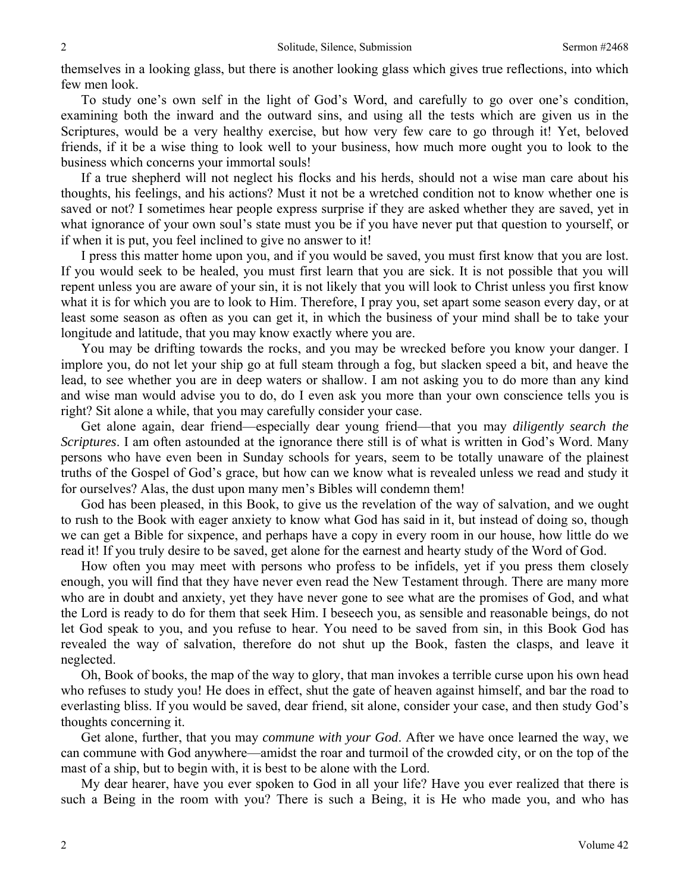themselves in a looking glass, but there is another looking glass which gives true reflections, into which few men look.

To study one's own self in the light of God's Word, and carefully to go over one's condition, examining both the inward and the outward sins, and using all the tests which are given us in the Scriptures, would be a very healthy exercise, but how very few care to go through it! Yet, beloved friends, if it be a wise thing to look well to your business, how much more ought you to look to the business which concerns your immortal souls!

If a true shepherd will not neglect his flocks and his herds, should not a wise man care about his thoughts, his feelings, and his actions? Must it not be a wretched condition not to know whether one is saved or not? I sometimes hear people express surprise if they are asked whether they are saved, yet in what ignorance of your own soul's state must you be if you have never put that question to yourself, or if when it is put, you feel inclined to give no answer to it!

I press this matter home upon you, and if you would be saved, you must first know that you are lost. If you would seek to be healed, you must first learn that you are sick. It is not possible that you will repent unless you are aware of your sin, it is not likely that you will look to Christ unless you first know what it is for which you are to look to Him. Therefore, I pray you, set apart some season every day, or at least some season as often as you can get it, in which the business of your mind shall be to take your longitude and latitude, that you may know exactly where you are.

You may be drifting towards the rocks, and you may be wrecked before you know your danger. I implore you, do not let your ship go at full steam through a fog, but slacken speed a bit, and heave the lead, to see whether you are in deep waters or shallow. I am not asking you to do more than any kind and wise man would advise you to do, do I even ask you more than your own conscience tells you is right? Sit alone a while, that you may carefully consider your case.

Get alone again, dear friend—especially dear young friend—that you may *diligently search the Scriptures*. I am often astounded at the ignorance there still is of what is written in God's Word. Many persons who have even been in Sunday schools for years, seem to be totally unaware of the plainest truths of the Gospel of God's grace, but how can we know what is revealed unless we read and study it for ourselves? Alas, the dust upon many men's Bibles will condemn them!

God has been pleased, in this Book, to give us the revelation of the way of salvation, and we ought to rush to the Book with eager anxiety to know what God has said in it, but instead of doing so, though we can get a Bible for sixpence, and perhaps have a copy in every room in our house, how little do we read it! If you truly desire to be saved, get alone for the earnest and hearty study of the Word of God.

How often you may meet with persons who profess to be infidels, yet if you press them closely enough, you will find that they have never even read the New Testament through. There are many more who are in doubt and anxiety, yet they have never gone to see what are the promises of God, and what the Lord is ready to do for them that seek Him. I beseech you, as sensible and reasonable beings, do not let God speak to you, and you refuse to hear. You need to be saved from sin, in this Book God has revealed the way of salvation, therefore do not shut up the Book, fasten the clasps, and leave it neglected.

Oh, Book of books, the map of the way to glory, that man invokes a terrible curse upon his own head who refuses to study you! He does in effect, shut the gate of heaven against himself, and bar the road to everlasting bliss. If you would be saved, dear friend, sit alone, consider your case, and then study God's thoughts concerning it.

Get alone, further, that you may *commune with your God*. After we have once learned the way, we can commune with God anywhere—amidst the roar and turmoil of the crowded city, or on the top of the mast of a ship, but to begin with, it is best to be alone with the Lord.

My dear hearer, have you ever spoken to God in all your life? Have you ever realized that there is such a Being in the room with you? There is such a Being, it is He who made you, and who has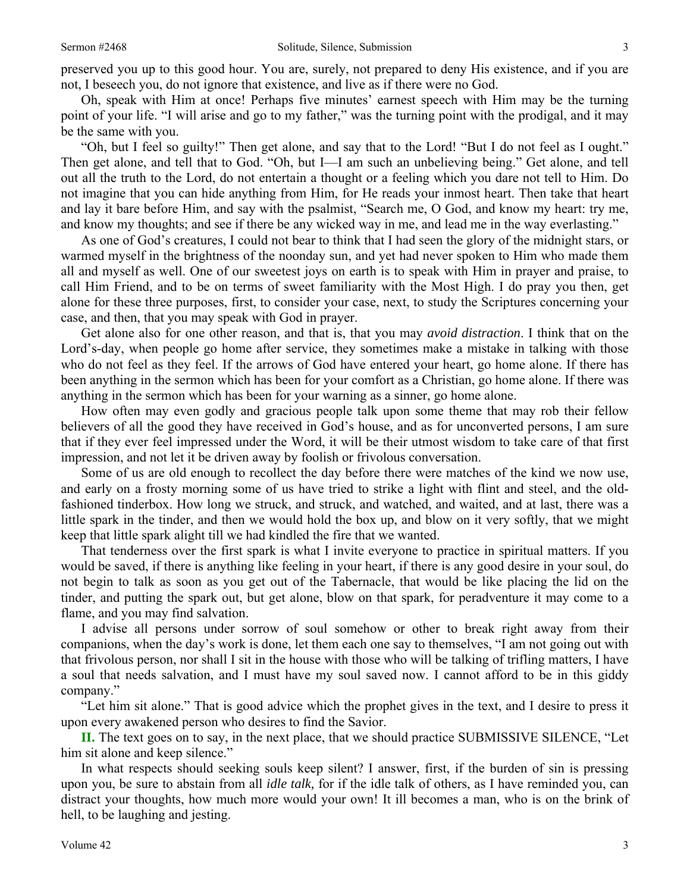Oh, speak with Him at once! Perhaps five minutes' earnest speech with Him may be the turning point of your life. "I will arise and go to my father," was the turning point with the prodigal, and it may be the same with you.

"Oh, but I feel so guilty!" Then get alone, and say that to the Lord! "But I do not feel as I ought." Then get alone, and tell that to God. "Oh, but I—I am such an unbelieving being." Get alone, and tell out all the truth to the Lord, do not entertain a thought or a feeling which you dare not tell to Him. Do not imagine that you can hide anything from Him, for He reads your inmost heart. Then take that heart and lay it bare before Him, and say with the psalmist, "Search me, O God, and know my heart: try me, and know my thoughts; and see if there be any wicked way in me, and lead me in the way everlasting."

As one of God's creatures, I could not bear to think that I had seen the glory of the midnight stars, or warmed myself in the brightness of the noonday sun, and yet had never spoken to Him who made them all and myself as well. One of our sweetest joys on earth is to speak with Him in prayer and praise, to call Him Friend, and to be on terms of sweet familiarity with the Most High. I do pray you then, get alone for these three purposes, first, to consider your case, next, to study the Scriptures concerning your case, and then, that you may speak with God in prayer.

Get alone also for one other reason, and that is, that you may *avoid distraction*. I think that on the Lord's-day, when people go home after service, they sometimes make a mistake in talking with those who do not feel as they feel. If the arrows of God have entered your heart, go home alone. If there has been anything in the sermon which has been for your comfort as a Christian, go home alone. If there was anything in the sermon which has been for your warning as a sinner, go home alone.

How often may even godly and gracious people talk upon some theme that may rob their fellow believers of all the good they have received in God's house, and as for unconverted persons, I am sure that if they ever feel impressed under the Word, it will be their utmost wisdom to take care of that first impression, and not let it be driven away by foolish or frivolous conversation.

Some of us are old enough to recollect the day before there were matches of the kind we now use, and early on a frosty morning some of us have tried to strike a light with flint and steel, and the oldfashioned tinderbox. How long we struck, and struck, and watched, and waited, and at last, there was a little spark in the tinder, and then we would hold the box up, and blow on it very softly, that we might keep that little spark alight till we had kindled the fire that we wanted.

That tenderness over the first spark is what I invite everyone to practice in spiritual matters. If you would be saved, if there is anything like feeling in your heart, if there is any good desire in your soul, do not begin to talk as soon as you get out of the Tabernacle, that would be like placing the lid on the tinder, and putting the spark out, but get alone, blow on that spark, for peradventure it may come to a flame, and you may find salvation.

I advise all persons under sorrow of soul somehow or other to break right away from their companions, when the day's work is done, let them each one say to themselves, "I am not going out with that frivolous person, nor shall I sit in the house with those who will be talking of trifling matters, I have a soul that needs salvation, and I must have my soul saved now. I cannot afford to be in this giddy company."

"Let him sit alone." That is good advice which the prophet gives in the text, and I desire to press it upon every awakened person who desires to find the Savior.

**II.** The text goes on to say, in the next place, that we should practice SUBMISSIVE SILENCE, "Let him sit alone and keep silence."

In what respects should seeking souls keep silent? I answer, first, if the burden of sin is pressing upon you, be sure to abstain from all *idle talk,* for if the idle talk of others, as I have reminded you, can distract your thoughts, how much more would your own! It ill becomes a man, who is on the brink of hell, to be laughing and jesting.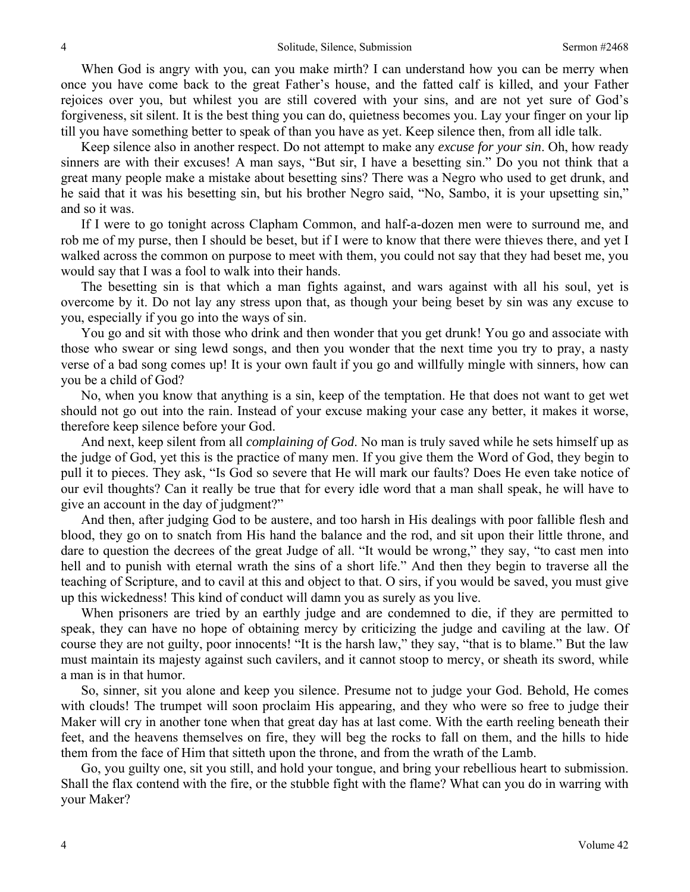When God is angry with you, can you make mirth? I can understand how you can be merry when once you have come back to the great Father's house, and the fatted calf is killed, and your Father rejoices over you, but whilest you are still covered with your sins, and are not yet sure of God's forgiveness, sit silent. It is the best thing you can do, quietness becomes you. Lay your finger on your lip till you have something better to speak of than you have as yet. Keep silence then, from all idle talk.

Keep silence also in another respect. Do not attempt to make any *excuse for your sin*. Oh, how ready sinners are with their excuses! A man says, "But sir, I have a besetting sin." Do you not think that a great many people make a mistake about besetting sins? There was a Negro who used to get drunk, and he said that it was his besetting sin, but his brother Negro said, "No, Sambo, it is your upsetting sin," and so it was.

If I were to go tonight across Clapham Common, and half-a-dozen men were to surround me, and rob me of my purse, then I should be beset, but if I were to know that there were thieves there, and yet I walked across the common on purpose to meet with them, you could not say that they had beset me, you would say that I was a fool to walk into their hands.

The besetting sin is that which a man fights against, and wars against with all his soul, yet is overcome by it. Do not lay any stress upon that, as though your being beset by sin was any excuse to you, especially if you go into the ways of sin.

You go and sit with those who drink and then wonder that you get drunk! You go and associate with those who swear or sing lewd songs, and then you wonder that the next time you try to pray, a nasty verse of a bad song comes up! It is your own fault if you go and willfully mingle with sinners, how can you be a child of God?

No, when you know that anything is a sin, keep of the temptation. He that does not want to get wet should not go out into the rain. Instead of your excuse making your case any better, it makes it worse, therefore keep silence before your God.

And next, keep silent from all *complaining of God*. No man is truly saved while he sets himself up as the judge of God, yet this is the practice of many men. If you give them the Word of God, they begin to pull it to pieces. They ask, "Is God so severe that He will mark our faults? Does He even take notice of our evil thoughts? Can it really be true that for every idle word that a man shall speak, he will have to give an account in the day of judgment?"

And then, after judging God to be austere, and too harsh in His dealings with poor fallible flesh and blood, they go on to snatch from His hand the balance and the rod, and sit upon their little throne, and dare to question the decrees of the great Judge of all. "It would be wrong," they say, "to cast men into hell and to punish with eternal wrath the sins of a short life." And then they begin to traverse all the teaching of Scripture, and to cavil at this and object to that. O sirs, if you would be saved, you must give up this wickedness! This kind of conduct will damn you as surely as you live.

When prisoners are tried by an earthly judge and are condemned to die, if they are permitted to speak, they can have no hope of obtaining mercy by criticizing the judge and caviling at the law. Of course they are not guilty, poor innocents! "It is the harsh law," they say, "that is to blame." But the law must maintain its majesty against such cavilers, and it cannot stoop to mercy, or sheath its sword, while a man is in that humor.

So, sinner, sit you alone and keep you silence. Presume not to judge your God. Behold, He comes with clouds! The trumpet will soon proclaim His appearing, and they who were so free to judge their Maker will cry in another tone when that great day has at last come. With the earth reeling beneath their feet, and the heavens themselves on fire, they will beg the rocks to fall on them, and the hills to hide them from the face of Him that sitteth upon the throne, and from the wrath of the Lamb.

Go, you guilty one, sit you still, and hold your tongue, and bring your rebellious heart to submission. Shall the flax contend with the fire, or the stubble fight with the flame? What can you do in warring with your Maker?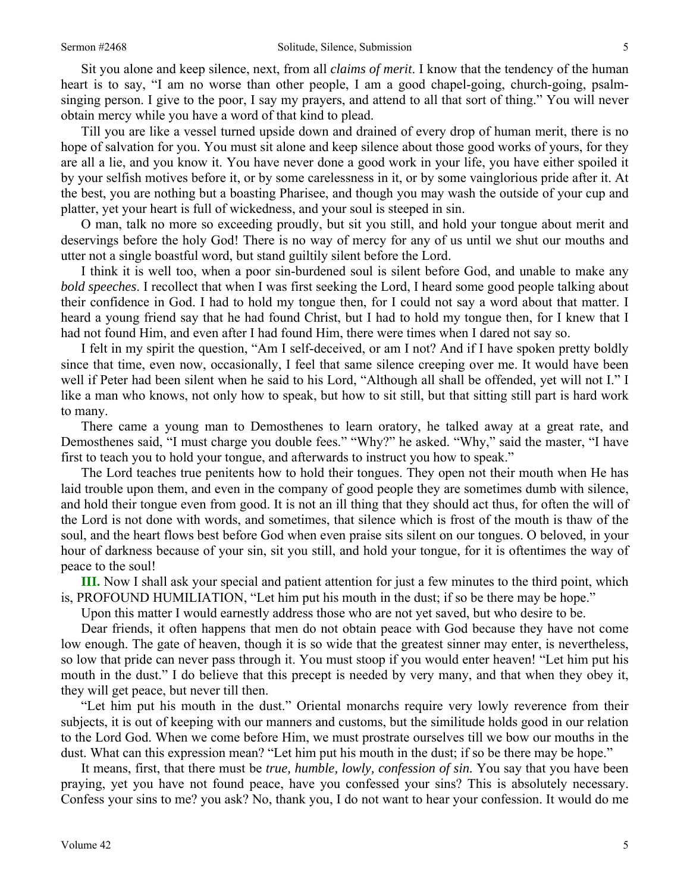Sit you alone and keep silence, next, from all *claims of merit*. I know that the tendency of the human heart is to say, "I am no worse than other people, I am a good chapel-going, church-going, psalmsinging person. I give to the poor, I say my prayers, and attend to all that sort of thing." You will never obtain mercy while you have a word of that kind to plead.

Till you are like a vessel turned upside down and drained of every drop of human merit, there is no hope of salvation for you. You must sit alone and keep silence about those good works of yours, for they are all a lie, and you know it. You have never done a good work in your life, you have either spoiled it by your selfish motives before it, or by some carelessness in it, or by some vainglorious pride after it. At the best, you are nothing but a boasting Pharisee, and though you may wash the outside of your cup and platter, yet your heart is full of wickedness, and your soul is steeped in sin.

O man, talk no more so exceeding proudly, but sit you still, and hold your tongue about merit and deservings before the holy God! There is no way of mercy for any of us until we shut our mouths and utter not a single boastful word, but stand guiltily silent before the Lord.

I think it is well too, when a poor sin-burdened soul is silent before God, and unable to make any *bold speeches*. I recollect that when I was first seeking the Lord, I heard some good people talking about their confidence in God. I had to hold my tongue then, for I could not say a word about that matter. I heard a young friend say that he had found Christ, but I had to hold my tongue then, for I knew that I had not found Him, and even after I had found Him, there were times when I dared not say so.

I felt in my spirit the question, "Am I self-deceived, or am I not? And if I have spoken pretty boldly since that time, even now, occasionally, I feel that same silence creeping over me. It would have been well if Peter had been silent when he said to his Lord, "Although all shall be offended, yet will not I." I like a man who knows, not only how to speak, but how to sit still, but that sitting still part is hard work to many.

There came a young man to Demosthenes to learn oratory, he talked away at a great rate, and Demosthenes said, "I must charge you double fees." "Why?" he asked. "Why," said the master, "I have first to teach you to hold your tongue, and afterwards to instruct you how to speak."

The Lord teaches true penitents how to hold their tongues. They open not their mouth when He has laid trouble upon them, and even in the company of good people they are sometimes dumb with silence, and hold their tongue even from good. It is not an ill thing that they should act thus, for often the will of the Lord is not done with words, and sometimes, that silence which is frost of the mouth is thaw of the soul, and the heart flows best before God when even praise sits silent on our tongues. O beloved, in your hour of darkness because of your sin, sit you still, and hold your tongue, for it is oftentimes the way of peace to the soul!

**III.** Now I shall ask your special and patient attention for just a few minutes to the third point, which is, PROFOUND HUMILIATION, "Let him put his mouth in the dust; if so be there may be hope."

Upon this matter I would earnestly address those who are not yet saved, but who desire to be.

Dear friends, it often happens that men do not obtain peace with God because they have not come low enough. The gate of heaven, though it is so wide that the greatest sinner may enter, is nevertheless, so low that pride can never pass through it. You must stoop if you would enter heaven! "Let him put his mouth in the dust." I do believe that this precept is needed by very many, and that when they obey it, they will get peace, but never till then.

"Let him put his mouth in the dust." Oriental monarchs require very lowly reverence from their subjects, it is out of keeping with our manners and customs, but the similitude holds good in our relation to the Lord God. When we come before Him, we must prostrate ourselves till we bow our mouths in the dust. What can this expression mean? "Let him put his mouth in the dust; if so be there may be hope."

It means, first, that there must be *true, humble, lowly, confession of sin.* You say that you have been praying, yet you have not found peace, have you confessed your sins? This is absolutely necessary. Confess your sins to me? you ask? No, thank you, I do not want to hear your confession. It would do me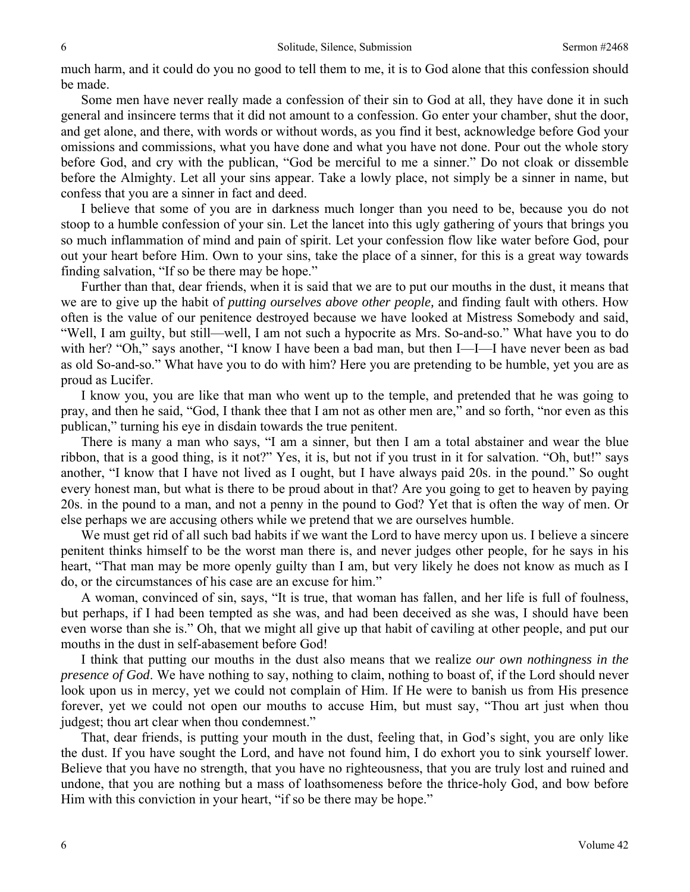much harm, and it could do you no good to tell them to me, it is to God alone that this confession should be made.

Some men have never really made a confession of their sin to God at all, they have done it in such general and insincere terms that it did not amount to a confession. Go enter your chamber, shut the door, and get alone, and there, with words or without words, as you find it best, acknowledge before God your omissions and commissions, what you have done and what you have not done. Pour out the whole story before God, and cry with the publican, "God be merciful to me a sinner." Do not cloak or dissemble before the Almighty. Let all your sins appear. Take a lowly place, not simply be a sinner in name, but confess that you are a sinner in fact and deed.

I believe that some of you are in darkness much longer than you need to be, because you do not stoop to a humble confession of your sin. Let the lancet into this ugly gathering of yours that brings you so much inflammation of mind and pain of spirit. Let your confession flow like water before God, pour out your heart before Him. Own to your sins, take the place of a sinner, for this is a great way towards finding salvation, "If so be there may be hope."

Further than that, dear friends, when it is said that we are to put our mouths in the dust, it means that we are to give up the habit of *putting ourselves above other people,* and finding fault with others. How often is the value of our penitence destroyed because we have looked at Mistress Somebody and said, "Well, I am guilty, but still—well, I am not such a hypocrite as Mrs. So-and-so." What have you to do with her? "Oh," says another, "I know I have been a bad man, but then I—I—I have never been as bad as old So-and-so." What have you to do with him? Here you are pretending to be humble, yet you are as proud as Lucifer.

I know you, you are like that man who went up to the temple, and pretended that he was going to pray, and then he said, "God, I thank thee that I am not as other men are," and so forth, "nor even as this publican," turning his eye in disdain towards the true penitent.

There is many a man who says, "I am a sinner, but then I am a total abstainer and wear the blue ribbon, that is a good thing, is it not?" Yes, it is, but not if you trust in it for salvation. "Oh, but!" says another, "I know that I have not lived as I ought, but I have always paid 20s. in the pound." So ought every honest man, but what is there to be proud about in that? Are you going to get to heaven by paying 20s. in the pound to a man, and not a penny in the pound to God? Yet that is often the way of men. Or else perhaps we are accusing others while we pretend that we are ourselves humble.

We must get rid of all such bad habits if we want the Lord to have mercy upon us. I believe a sincere penitent thinks himself to be the worst man there is, and never judges other people, for he says in his heart, "That man may be more openly guilty than I am, but very likely he does not know as much as I do, or the circumstances of his case are an excuse for him."

A woman, convinced of sin, says, "It is true, that woman has fallen, and her life is full of foulness, but perhaps, if I had been tempted as she was, and had been deceived as she was, I should have been even worse than she is." Oh, that we might all give up that habit of caviling at other people, and put our mouths in the dust in self-abasement before God!

I think that putting our mouths in the dust also means that we realize *our own nothingness in the presence of God*. We have nothing to say, nothing to claim, nothing to boast of, if the Lord should never look upon us in mercy, yet we could not complain of Him. If He were to banish us from His presence forever, yet we could not open our mouths to accuse Him, but must say, "Thou art just when thou judgest; thou art clear when thou condemnest."

That, dear friends, is putting your mouth in the dust, feeling that, in God's sight, you are only like the dust. If you have sought the Lord, and have not found him, I do exhort you to sink yourself lower. Believe that you have no strength, that you have no righteousness, that you are truly lost and ruined and undone, that you are nothing but a mass of loathsomeness before the thrice-holy God, and bow before Him with this conviction in your heart, "if so be there may be hope."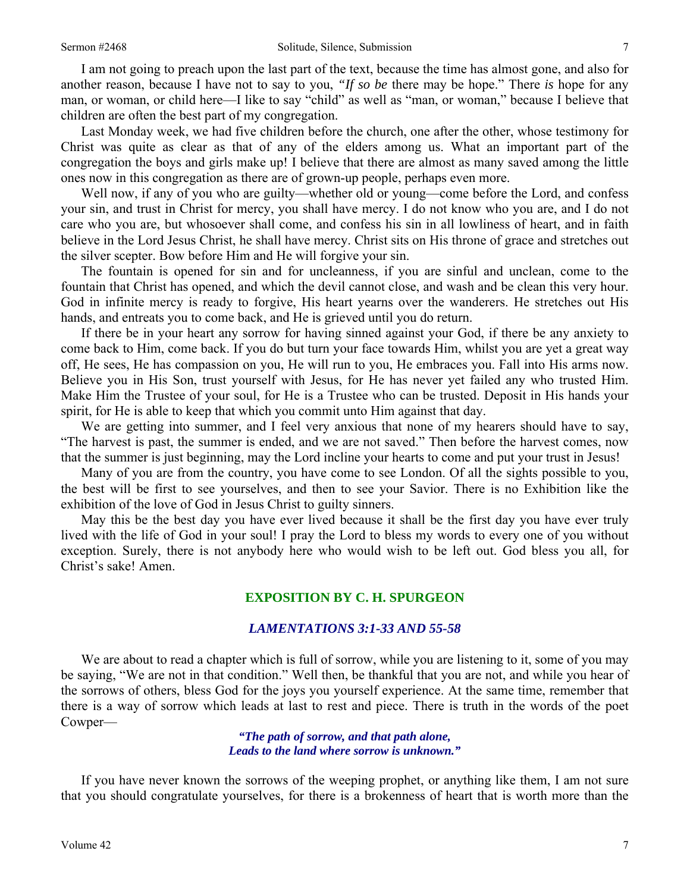I am not going to preach upon the last part of the text, because the time has almost gone, and also for another reason, because I have not to say to you, *"If so be* there may be hope." There *is* hope for any man, or woman, or child here—I like to say "child" as well as "man, or woman," because I believe that children are often the best part of my congregation.

Last Monday week, we had five children before the church, one after the other, whose testimony for Christ was quite as clear as that of any of the elders among us. What an important part of the congregation the boys and girls make up! I believe that there are almost as many saved among the little ones now in this congregation as there are of grown-up people, perhaps even more.

Well now, if any of you who are guilty—whether old or young—come before the Lord, and confess your sin, and trust in Christ for mercy, you shall have mercy. I do not know who you are, and I do not care who you are, but whosoever shall come, and confess his sin in all lowliness of heart, and in faith believe in the Lord Jesus Christ, he shall have mercy. Christ sits on His throne of grace and stretches out the silver scepter. Bow before Him and He will forgive your sin.

The fountain is opened for sin and for uncleanness, if you are sinful and unclean, come to the fountain that Christ has opened, and which the devil cannot close, and wash and be clean this very hour. God in infinite mercy is ready to forgive, His heart yearns over the wanderers. He stretches out His hands, and entreats you to come back, and He is grieved until you do return.

If there be in your heart any sorrow for having sinned against your God, if there be any anxiety to come back to Him, come back. If you do but turn your face towards Him, whilst you are yet a great way off, He sees, He has compassion on you, He will run to you, He embraces you. Fall into His arms now. Believe you in His Son, trust yourself with Jesus, for He has never yet failed any who trusted Him. Make Him the Trustee of your soul, for He is a Trustee who can be trusted. Deposit in His hands your spirit, for He is able to keep that which you commit unto Him against that day.

We are getting into summer, and I feel very anxious that none of my hearers should have to say, "The harvest is past, the summer is ended, and we are not saved." Then before the harvest comes, now that the summer is just beginning, may the Lord incline your hearts to come and put your trust in Jesus!

Many of you are from the country, you have come to see London. Of all the sights possible to you, the best will be first to see yourselves, and then to see your Savior. There is no Exhibition like the exhibition of the love of God in Jesus Christ to guilty sinners.

May this be the best day you have ever lived because it shall be the first day you have ever truly lived with the life of God in your soul! I pray the Lord to bless my words to every one of you without exception. Surely, there is not anybody here who would wish to be left out. God bless you all, for Christ's sake! Amen.

#### **EXPOSITION BY C. H. SPURGEON**

#### *LAMENTATIONS 3:1-33 AND 55-58*

We are about to read a chapter which is full of sorrow, while you are listening to it, some of you may be saying, "We are not in that condition." Well then, be thankful that you are not, and while you hear of the sorrows of others, bless God for the joys you yourself experience. At the same time, remember that there is a way of sorrow which leads at last to rest and piece. There is truth in the words of the poet Cowper—

> *"The path of sorrow, and that path alone, Leads to the land where sorrow is unknown."*

If you have never known the sorrows of the weeping prophet, or anything like them, I am not sure that you should congratulate yourselves, for there is a brokenness of heart that is worth more than the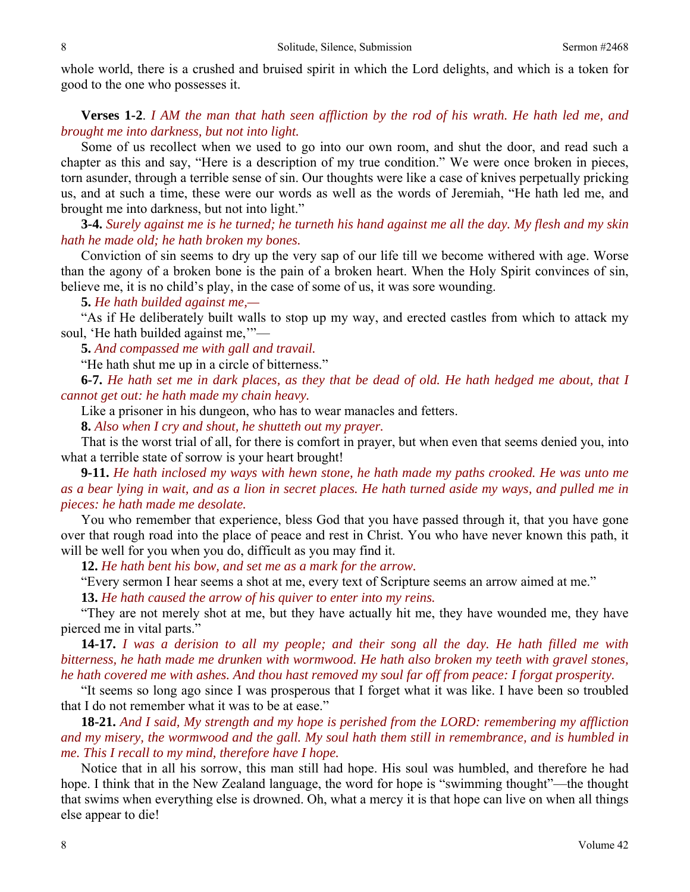whole world, there is a crushed and bruised spirit in which the Lord delights, and which is a token for good to the one who possesses it.

### **Verses 1-2**. *I AM the man that hath seen affliction by the rod of his wrath. He hath led me, and brought me into darkness, but not into light.*

Some of us recollect when we used to go into our own room, and shut the door, and read such a chapter as this and say, "Here is a description of my true condition." We were once broken in pieces, torn asunder, through a terrible sense of sin. Our thoughts were like a case of knives perpetually pricking us, and at such a time, these were our words as well as the words of Jeremiah, "He hath led me, and brought me into darkness, but not into light."

**3-4.** *Surely against me is he turned; he turneth his hand against me all the day. My flesh and my skin hath he made old; he hath broken my bones.* 

Conviction of sin seems to dry up the very sap of our life till we become withered with age. Worse than the agony of a broken bone is the pain of a broken heart. When the Holy Spirit convinces of sin, believe me, it is no child's play, in the case of some of us, it was sore wounding.

**5.** *He hath builded against me,—* 

"As if He deliberately built walls to stop up my way, and erected castles from which to attack my soul, 'He hath builded against me,'"—

**5.** *And compassed me with gall and travail.* 

"He hath shut me up in a circle of bitterness."

**6-7.** *He hath set me in dark places, as they that be dead of old. He hath hedged me about, that I cannot get out: he hath made my chain heavy.* 

Like a prisoner in his dungeon, who has to wear manacles and fetters.

**8.** *Also when I cry and shout, he shutteth out my prayer.* 

That is the worst trial of all, for there is comfort in prayer, but when even that seems denied you, into what a terrible state of sorrow is your heart brought!

**9-11.** *He hath inclosed my ways with hewn stone, he hath made my paths crooked. He was unto me as a bear lying in wait, and as a lion in secret places. He hath turned aside my ways, and pulled me in pieces: he hath made me desolate.* 

You who remember that experience, bless God that you have passed through it, that you have gone over that rough road into the place of peace and rest in Christ. You who have never known this path, it will be well for you when you do, difficult as you may find it.

**12.** *He hath bent his bow, and set me as a mark for the arrow.* 

"Every sermon I hear seems a shot at me, every text of Scripture seems an arrow aimed at me."

**13.** *He hath caused the arrow of his quiver to enter into my reins.* 

"They are not merely shot at me, but they have actually hit me, they have wounded me, they have pierced me in vital parts."

**14-17.** *I was a derision to all my people; and their song all the day. He hath filled me with bitterness, he hath made me drunken with wormwood. He hath also broken my teeth with gravel stones, he hath covered me with ashes. And thou hast removed my soul far off from peace: I forgat prosperity.* 

"It seems so long ago since I was prosperous that I forget what it was like. I have been so troubled that I do not remember what it was to be at ease."

**18-21.** *And I said, My strength and my hope is perished from the LORD: remembering my affliction and my misery, the wormwood and the gall. My soul hath them still in remembrance, and is humbled in me. This I recall to my mind, therefore have I hope.* 

Notice that in all his sorrow, this man still had hope. His soul was humbled, and therefore he had hope. I think that in the New Zealand language, the word for hope is "swimming thought"—the thought that swims when everything else is drowned. Oh, what a mercy it is that hope can live on when all things else appear to die!